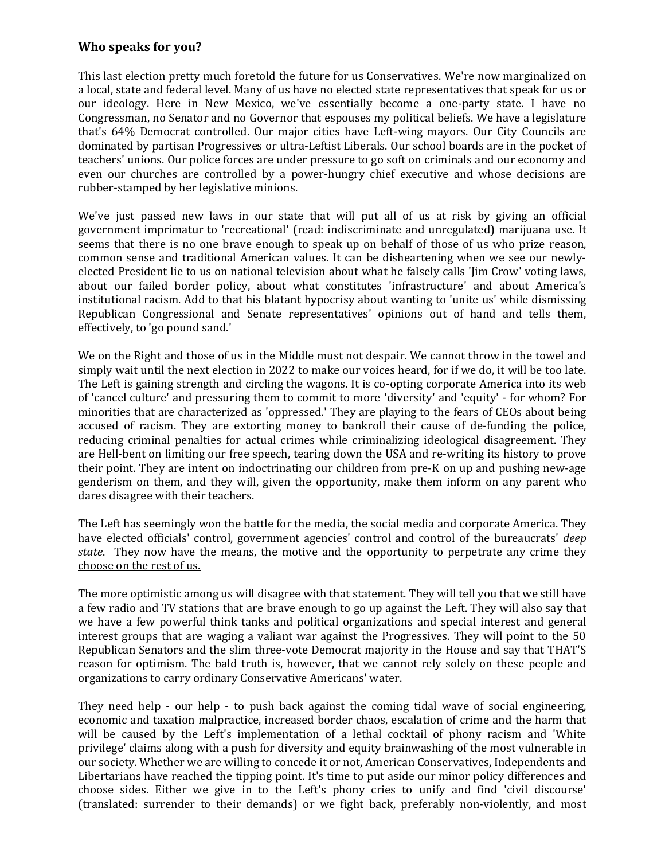## **Who speaks for you?**

This last election pretty much foretold the future for us Conservatives. We're now marginalized on a local, state and federal level. Many of us have no elected state representatives that speak for us or our ideology. Here in New Mexico, we've essentially become a one-party state. I have no Congressman, no Senator and no Governor that espouses my political beliefs. We have a legislature that's 64% Democrat controlled. Our major cities have Left-wing mayors. Our City Councils are dominated by partisan Progressives or ultra-Leftist Liberals. Our school boards are in the pocket of teachers' unions. Our police forces are under pressure to go soft on criminals and our economy and even our churches are controlled by a power-hungry chief executive and whose decisions are rubber-stamped by her legislative minions.

We've just passed new laws in our state that will put all of us at risk by giving an official government imprimatur to 'recreational' (read: indiscriminate and unregulated) marijuana use. It seems that there is no one brave enough to speak up on behalf of those of us who prize reason, common sense and traditional American values. It can be disheartening when we see our newlyelected President lie to us on national television about what he falsely calls 'Jim Crow' voting laws, about our failed border policy, about what constitutes 'infrastructure' and about America's institutional racism. Add to that his blatant hypocrisy about wanting to 'unite us' while dismissing Republican Congressional and Senate representatives' opinions out of hand and tells them, effectively, to 'go pound sand.'

We on the Right and those of us in the Middle must not despair. We cannot throw in the towel and simply wait until the next election in 2022 to make our voices heard, for if we do, it will be too late. The Left is gaining strength and circling the wagons. It is co-opting corporate America into its web of 'cancel culture' and pressuring them to commit to more 'diversity' and 'equity' - for whom? For minorities that are characterized as 'oppressed.' They are playing to the fears of CEOs about being accused of racism. They are extorting money to bankroll their cause of de-funding the police, reducing criminal penalties for actual crimes while criminalizing ideological disagreement. They are Hell-bent on limiting our free speech, tearing down the USA and re-writing its history to prove their point. They are intent on indoctrinating our children from pre-K on up and pushing new-age genderism on them, and they will, given the opportunity, make them inform on any parent who dares disagree with their teachers.

The Left has seemingly won the battle for the media, the social media and corporate America. They have elected officials' control, government agencies' control and control of the bureaucrats' *deep state*. They now have the means, the motive and the opportunity to perpetrate any crime they choose on the rest of us.

The more optimistic among us will disagree with that statement. They will tell you that we still have a few radio and TV stations that are brave enough to go up against the Left. They will also say that we have a few powerful think tanks and political organizations and special interest and general interest groups that are waging a valiant war against the Progressives. They will point to the 50 Republican Senators and the slim three-vote Democrat majority in the House and say that THAT'S reason for optimism. The bald truth is, however, that we cannot rely solely on these people and organizations to carry ordinary Conservative Americans' water.

They need help - our help - to push back against the coming tidal wave of social engineering, economic and taxation malpractice, increased border chaos, escalation of crime and the harm that will be caused by the Left's implementation of a lethal cocktail of phony racism and 'White privilege' claims along with a push for diversity and equity brainwashing of the most vulnerable in our society. Whether we are willing to concede it or not, American Conservatives, Independents and Libertarians have reached the tipping point. It's time to put aside our minor policy differences and choose sides. Either we give in to the Left's phony cries to unify and find 'civil discourse' (translated: surrender to their demands) or we fight back, preferably non-violently, and most